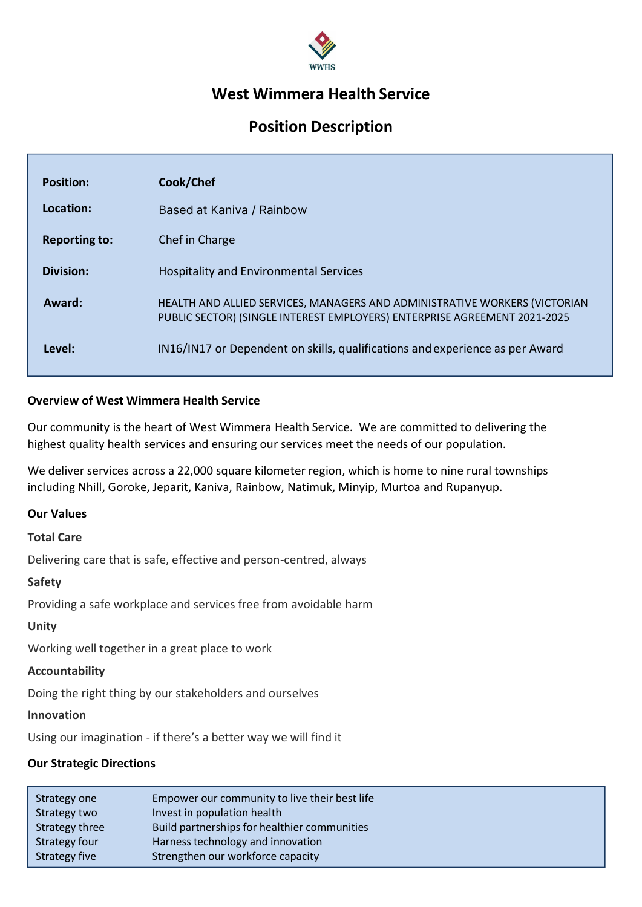

# West Wimmera Health Service

# Position Description

| <b>Position:</b>     | Cook/Chef                                                                                                                                               |
|----------------------|---------------------------------------------------------------------------------------------------------------------------------------------------------|
| Location:            | Based at Kaniva / Rainbow                                                                                                                               |
| <b>Reporting to:</b> | Chef in Charge                                                                                                                                          |
| Division:            | <b>Hospitality and Environmental Services</b>                                                                                                           |
| Award:               | HEALTH AND ALLIED SERVICES, MANAGERS AND ADMINISTRATIVE WORKERS (VICTORIAN<br>PUBLIC SECTOR) (SINGLE INTEREST EMPLOYERS) ENTERPRISE AGREEMENT 2021-2025 |
| Level:               | IN16/IN17 or Dependent on skills, qualifications and experience as per Award                                                                            |

## Overview of West Wimmera Health Service

Our community is the heart of West Wimmera Health Service. We are committed to delivering the highest quality health services and ensuring our services meet the needs of our population.

We deliver services across a 22,000 square kilometer region, which is home to nine rural townships including Nhill, Goroke, Jeparit, Kaniva, Rainbow, Natimuk, Minyip, Murtoa and Rupanyup.

#### Our Values

#### Total Care

Delivering care that is safe, effective and person-centred, always

#### Safety

Providing a safe workplace and services free from avoidable harm

#### Unity

Working well together in a great place to work

#### Accountability

Doing the right thing by our stakeholders and ourselves

#### Innovation

Using our imagination - if there's a better way we will find it

## Our Strategic Directions

| Strategy one   | Empower our community to live their best life |
|----------------|-----------------------------------------------|
| Strategy two   | Invest in population health                   |
| Strategy three | Build partnerships for healthier communities  |
| Strategy four  | Harness technology and innovation             |
| Strategy five  | Strengthen our workforce capacity             |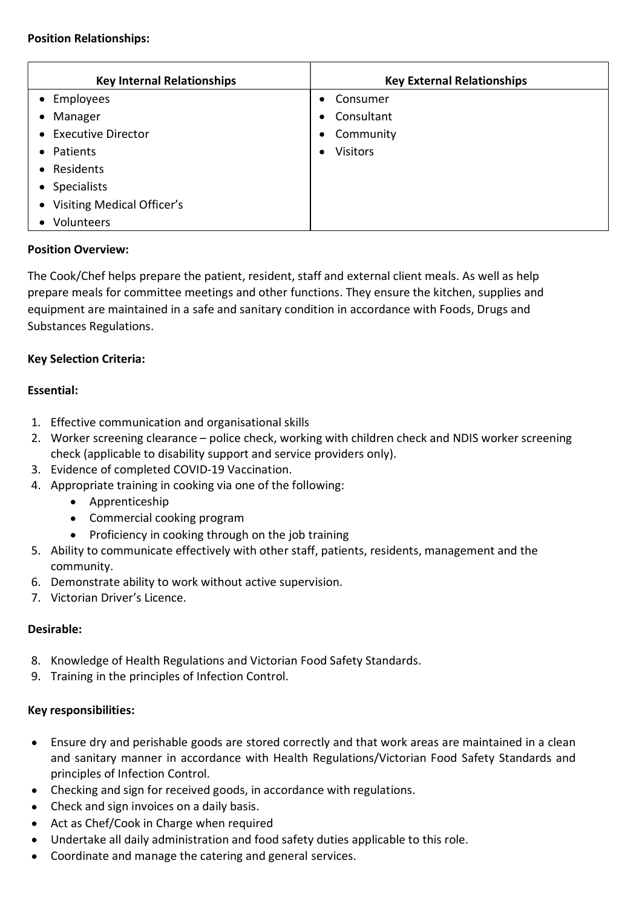#### Position Relationships:

| <b>Key Internal Relationships</b> | <b>Key External Relationships</b> |
|-----------------------------------|-----------------------------------|
| • Employees                       | Consumer<br>$\bullet$             |
| • Manager                         | • Consultant                      |
| • Executive Director              | Community<br>$\bullet$            |
| • Patients                        | <b>Visitors</b>                   |
| • Residents                       |                                   |
| • Specialists                     |                                   |
| • Visiting Medical Officer's      |                                   |
| Volunteers                        |                                   |

# Position Overview:

The Cook/Chef helps prepare the patient, resident, staff and external client meals. As well as help prepare meals for committee meetings and other functions. They ensure the kitchen, supplies and equipment are maintained in a safe and sanitary condition in accordance with Foods, Drugs and Substances Regulations.

# Key Selection Criteria:

## Essential:

- 1. Effective communication and organisational skills
- 2. Worker screening clearance police check, working with children check and NDIS worker screening check (applicable to disability support and service providers only).
- 3. Evidence of completed COVID-19 Vaccination.
- 4. Appropriate training in cooking via one of the following:
	- Apprenticeship
	- Commercial cooking program
	- Proficiency in cooking through on the job training
- 5. Ability to communicate effectively with other staff, patients, residents, management and the community.
- 6. Demonstrate ability to work without active supervision.
- 7. Victorian Driver's Licence.

# Desirable:

- 8. Knowledge of Health Regulations and Victorian Food Safety Standards.
- 9. Training in the principles of Infection Control.

# Key responsibilities:

- Ensure dry and perishable goods are stored correctly and that work areas are maintained in a clean and sanitary manner in accordance with Health Regulations/Victorian Food Safety Standards and principles of Infection Control.
- Checking and sign for received goods, in accordance with regulations.
- Check and sign invoices on a daily basis.
- Act as Chef/Cook in Charge when required
- Undertake all daily administration and food safety duties applicable to this role.
- Coordinate and manage the catering and general services. $\bullet$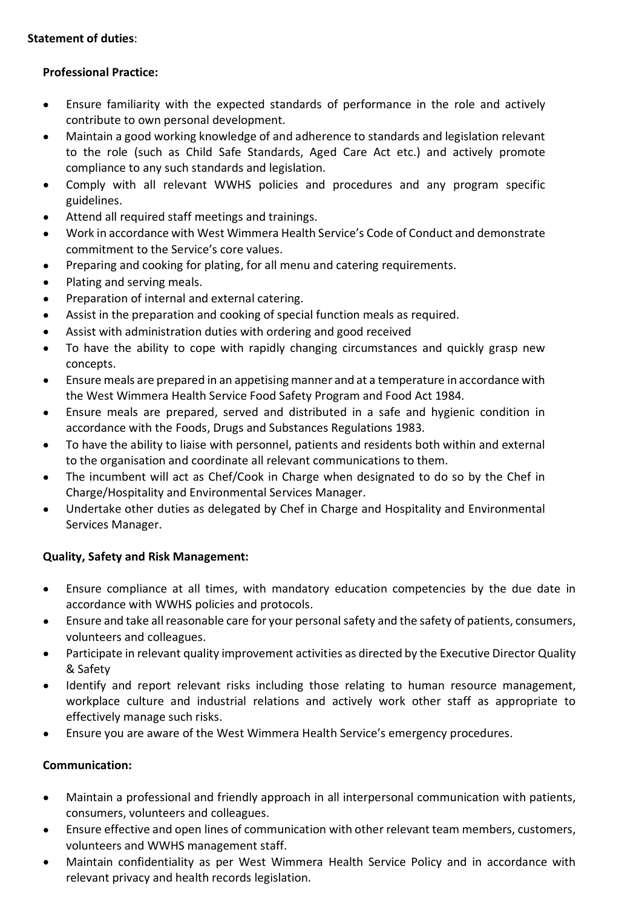# Statement of duties:

# Professional Practice:

- $\bullet$ Ensure familiarity with the expected standards of performance in the role and actively contribute to own personal development.
- Maintain a good working knowledge of and adherence to standards and legislation relevant  $\bullet$ to the role (such as Child Safe Standards, Aged Care Act etc.) and actively promote compliance to any such standards and legislation.
- Comply with all relevant WWHS policies and procedures and any program specific  $\bullet$ guidelines.
- Attend all required staff meetings and trainings.
- Work in accordance with West Wimmera Health Service's Code of Conduct and demonstrate commitment to the Service's core values.
- Preparing and cooking for plating, for all menu and catering requirements.
- Plating and serving meals.  $\bullet$
- $\bullet$ Preparation of internal and external catering.
- Assist in the preparation and cooking of special function meals as required.  $\bullet$
- Assist with administration duties with ordering and good received  $\bullet$
- To have the ability to cope with rapidly changing circumstances and quickly grasp new  $\bullet$ concepts.
- Ensure meals are prepared in an appetising manner and at a temperature in accordance with  $\bullet$ the West Wimmera Health Service Food Safety Program and Food Act 1984.
- Ensure meals are prepared, served and distributed in a safe and hygienic condition in  $\bullet$ accordance with the Foods, Drugs and Substances Regulations 1983.
- To have the ability to liaise with personnel, patients and residents both within and external  $\bullet$ to the organisation and coordinate all relevant communications to them.
- The incumbent will act as Chef/Cook in Charge when designated to do so by the Chef in  $\bullet$ Charge/Hospitality and Environmental Services Manager.
- Undertake other duties as delegated by Chef in Charge and Hospitality and Environmental  $\bullet$ Services Manager.

# Quality, Safety and Risk Management:

- $\bullet$ Ensure compliance at all times, with mandatory education competencies by the due date in accordance with WWHS policies and protocols.
- Ensure and take all reasonable care for your personal safety and the safety of patients, consumers,  $\bullet$ volunteers and colleagues.
- Participate in relevant quality improvement activities as directed by the Executive Director Quality  $\bullet$ & Safety
- Identify and report relevant risks including those relating to human resource management,  $\bullet$ workplace culture and industrial relations and actively work other staff as appropriate to effectively manage such risks.
- Ensure you are aware of the West Wimmera Health Service's emergency procedures.  $\bullet$

# Communication:

- Maintain a professional and friendly approach in all interpersonal communication with patients,  $\bullet$ consumers, volunteers and colleagues.
- Ensure effective and open lines of communication with other relevant team members, customers,  $\bullet$ volunteers and WWHS management staff.
- Maintain confidentiality as per West Wimmera Health Service Policy and in accordance with relevant privacy and health records legislation.